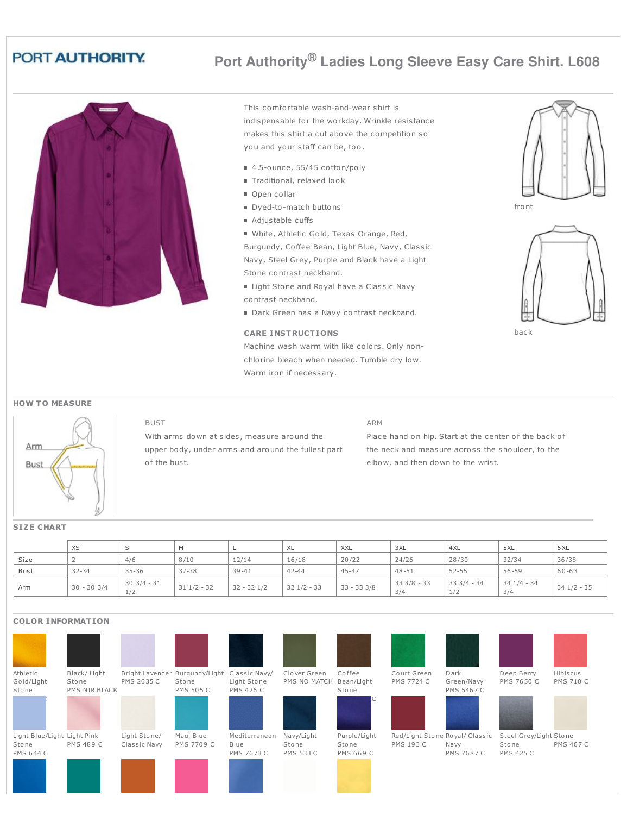## PORT AUTHORITY.

# **Port Authority® Ladies Long Sleeve Easy Care Shirt. L608**



BUST

This comfortable wash-and-wear shirt is indispensable for the workday. Wrinkle resistance makes this shirt a cut above the competition so you and your staff can be, too.

- 4.5-ounce, 55/45 cotton/poly
- Traditional, relaxed look
- Open collar
- Dyed-to-match buttons
- Adjustable cuffs

White, Athletic Gold, Texas Orange, Red, Burgundy, Coffee Bean, Light Blue, Navy, Classic Navy, Steel Grey, Purple and Black have a Light Stone contrast neckband.

- Light Stone and Royal have a Classic Navy contrast neckband.
- Dark Green has a Navy contrast neckband.

### **CARE INSTRUCTIONS**

Machine wash warm with like colors. Only nonchlorine bleach when needed. Tumble dry low. Warm iron if necessary.





back

#### **HOW T O MEASURE**



## With arms down at sides, measure around the upper body, under arms and around the fullest part of the bust.

#### ARM

Place hand on hip. Start at the center of the back of the neck and measure across the shoulder, to the elbow, and then down to the wrist.

#### XS |S |M |L |XL |XXL |3XL |4XL |5XL |6XL Size | 2 | 4/6 | 8/10 | 12/14 | 16/18 | 20/22 | 24/26 | 28/30 | 32/34 | 36/38 Bust | 32-34 | 35-36 | 37-38 | 39-41 | 42-44 | 45-47 | 48-51 | 52-55 | 56-59 | 60-63 Arm 30 - 30 3/4 30 3/4 - 31 1/2  $31 \frac{1}{2} - 32$   $32 - 32 \frac{1}{2}$   $32 \frac{1}{2} - 33$   $33 - 33 \frac{3}{8}$ 33 3/8 - 33 3/4 33 3/4 - 34 1/2 34 1/4 - 34 3/4 34 1/2 - 35